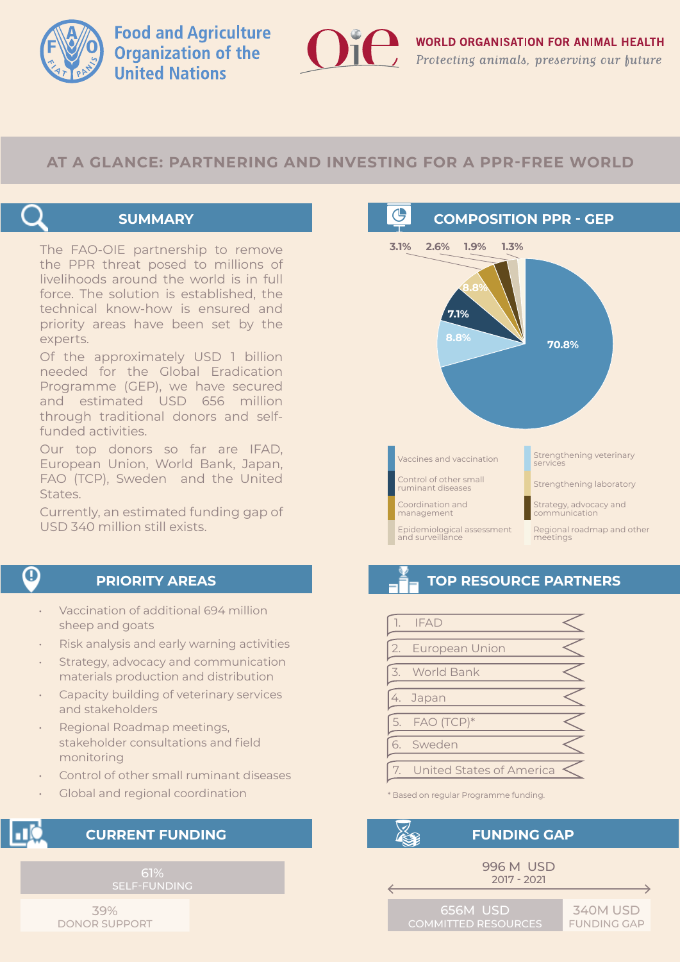

**Food and Agriculture Organization of the United Nations** 

### **AT A GLANCE: PARTNERING AND INVESTING FOR A PPR-FREE WORLD**



#### **SUMMARY**

The FAO-OIE partnership to remove the PPR threat posed to millions of livelihoods around the world is in full force. The solution is established, the technical know-how is ensured and priority areas have been set by the experts.

Of the approximately USD 1 billion needed for the Global Eradication Programme (GEP), we have secured and estimated USD 656 million through traditional donors and selffunded activities.

Our top donors so far are IFAD, European Union, World Bank, Japan, FAO (TCP), Sweden and the United States.

Currently, an estimated funding gap of USD 340 million still exists.

### 0

#### **PRIORITY AREAS**

- Vaccination of additional 694 million sheep and goats
- Risk analysis and early warning activities
- Strategy, advocacy and communication materials production and distribution
- Capacity building of veterinary services and stakeholders
- Regional Roadmap meetings, stakeholder consultations and field monitoring
- Control of other small ruminant diseases
- Global and regional coordination

#### **CURRENT FUNDING**

61%

39% DONOR SUPPORT



# **TOP RESOURCE PARTNERS**

|                                                    | <b>IFAD</b>              |  |
|----------------------------------------------------|--------------------------|--|
| 2.                                                 | European Union           |  |
| $\overline{\left\langle \mathbf{1}\right\rangle }$ | World Bank               |  |
| 4.                                                 | Japan                    |  |
|                                                    | 5. FAO (TCP)*            |  |
|                                                    | 6. Sweden                |  |
|                                                    | United States of America |  |

\* Based on regular Programme funding.



#### **FUNDING GAP**



340M USD FUNDING GAP

656M USD